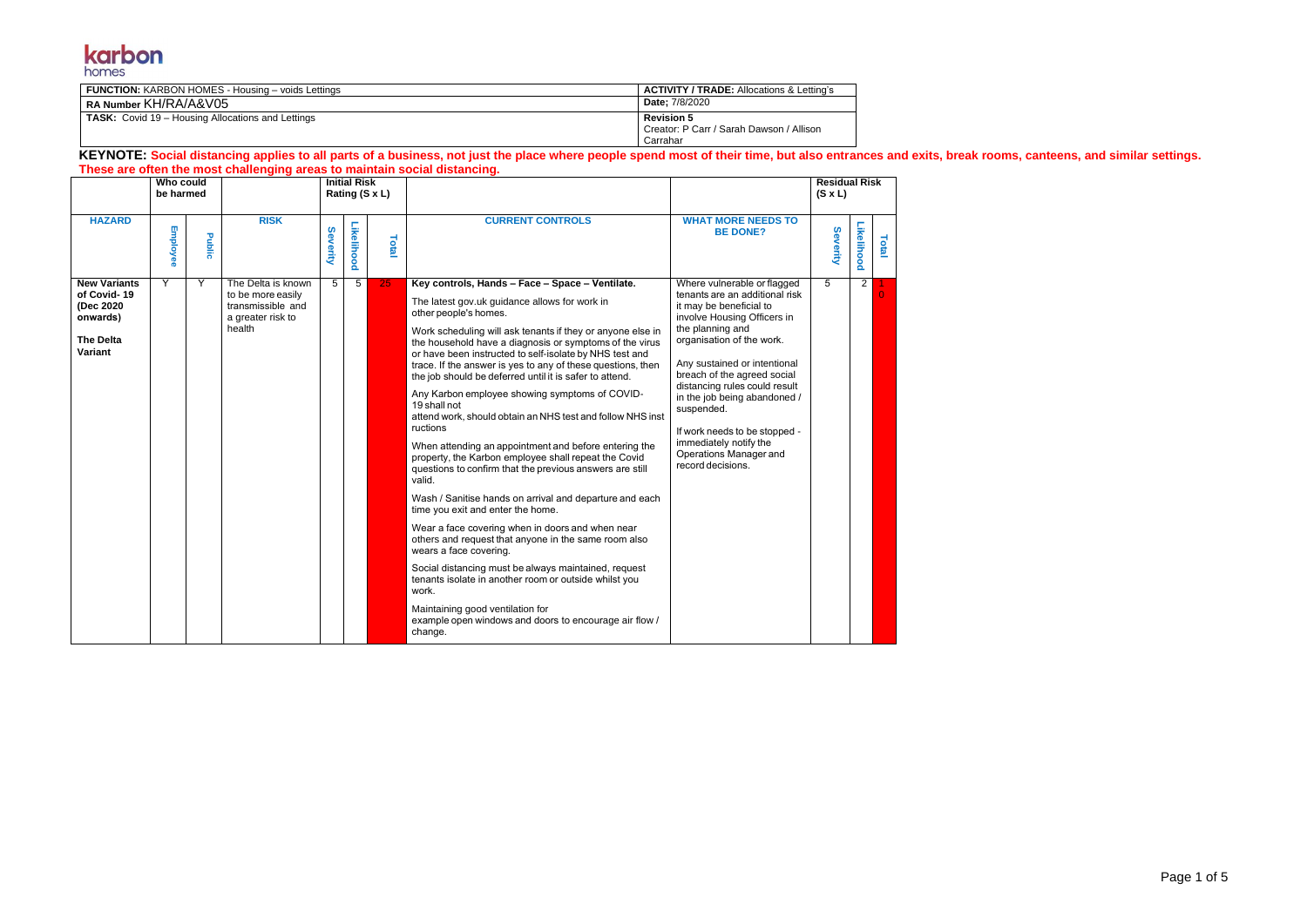

| <b>FUNCTION: KARBON HOMES - Housing - voids Lettings</b> | <b>ACTIVITY / TRADE:</b> Allocations & Letting's                          |
|----------------------------------------------------------|---------------------------------------------------------------------------|
| RA Number KH/RA/A&V05                                    | <b>Date:</b> 7/8/2020                                                     |
| <b>TASK:</b> Covid 19 – Housing Allocations and Lettings | <b>Revision 5</b><br>Creator: P Carr / Sarah Dawson / Allison<br>Carrahar |

## **KEYNOTE: Social distancing applies to all parts of a business, not just the place where people spend most of their time, but also entrances and exits, break rooms, canteens, and similar settings. These are often the most challenging areas to maintain social distancing.**

|                                                                                            | Who could<br>be harmed |        |                                                                                             |          | <b>Initial Risk</b> | Rating (S x L) |                                                                                                                                                                                                                                                                                                                                                                                                                                                                                                                                                                                                                                                                                                                                                                                                                                                                                                                                                                                                                                                                                                                                                                                                                                                     |                                                                                                                                                                                                                                                                                                                                                                                                                                  | <b>Residual Risk</b><br>$(S \times L)$ |                |       |
|--------------------------------------------------------------------------------------------|------------------------|--------|---------------------------------------------------------------------------------------------|----------|---------------------|----------------|-----------------------------------------------------------------------------------------------------------------------------------------------------------------------------------------------------------------------------------------------------------------------------------------------------------------------------------------------------------------------------------------------------------------------------------------------------------------------------------------------------------------------------------------------------------------------------------------------------------------------------------------------------------------------------------------------------------------------------------------------------------------------------------------------------------------------------------------------------------------------------------------------------------------------------------------------------------------------------------------------------------------------------------------------------------------------------------------------------------------------------------------------------------------------------------------------------------------------------------------------------|----------------------------------------------------------------------------------------------------------------------------------------------------------------------------------------------------------------------------------------------------------------------------------------------------------------------------------------------------------------------------------------------------------------------------------|----------------------------------------|----------------|-------|
| <b>HAZARD</b>                                                                              | Employee               | Public | <b>RISK</b>                                                                                 | Severity | Likelihood          | Total          | <b>CURRENT CONTROLS</b>                                                                                                                                                                                                                                                                                                                                                                                                                                                                                                                                                                                                                                                                                                                                                                                                                                                                                                                                                                                                                                                                                                                                                                                                                             | <b>WHAT MORE NEEDS TO</b><br><b>BE DONE?</b>                                                                                                                                                                                                                                                                                                                                                                                     | Severity                               | Likelihood     | Total |
| <b>New Variants</b><br>of Covid-19<br>(Dec 2020<br>onwards)<br><b>The Delta</b><br>Variant | Y                      | Y      | The Delta is known<br>to be more easily<br>transmissible and<br>a greater risk to<br>health | 5        | $\overline{5}$      | 25             | Key controls, Hands - Face - Space - Ventilate.<br>The latest gov.uk guidance allows for work in<br>other people's homes.<br>Work scheduling will ask tenants if they or anyone else in<br>the household have a diagnosis or symptoms of the virus<br>or have been instructed to self-isolate by NHS test and<br>trace. If the answer is yes to any of these questions, then<br>the job should be deferred until it is safer to attend.<br>Any Karbon employee showing symptoms of COVID-<br>19 shall not<br>attend work, should obtain an NHS test and follow NHS inst<br>ructions<br>When attending an appointment and before entering the<br>property, the Karbon employee shall repeat the Covid<br>questions to confirm that the previous answers are still<br>valid.<br>Wash / Sanitise hands on arrival and departure and each<br>time you exit and enter the home.<br>Wear a face covering when in doors and when near<br>others and request that anyone in the same room also<br>wears a face covering.<br>Social distancing must be always maintained, request<br>tenants isolate in another room or outside whilst you<br>work.<br>Maintaining good ventilation for<br>example open windows and doors to encourage air flow /<br>change. | Where vulnerable or flagged<br>tenants are an additional risk<br>it may be beneficial to<br>involve Housing Officers in<br>the planning and<br>organisation of the work.<br>Any sustained or intentional<br>breach of the agreed social<br>distancing rules could result<br>in the job being abandoned /<br>suspended.<br>If work needs to be stopped -<br>immediately notify the<br>Operations Manager and<br>record decisions. | 5                                      | $\overline{2}$ |       |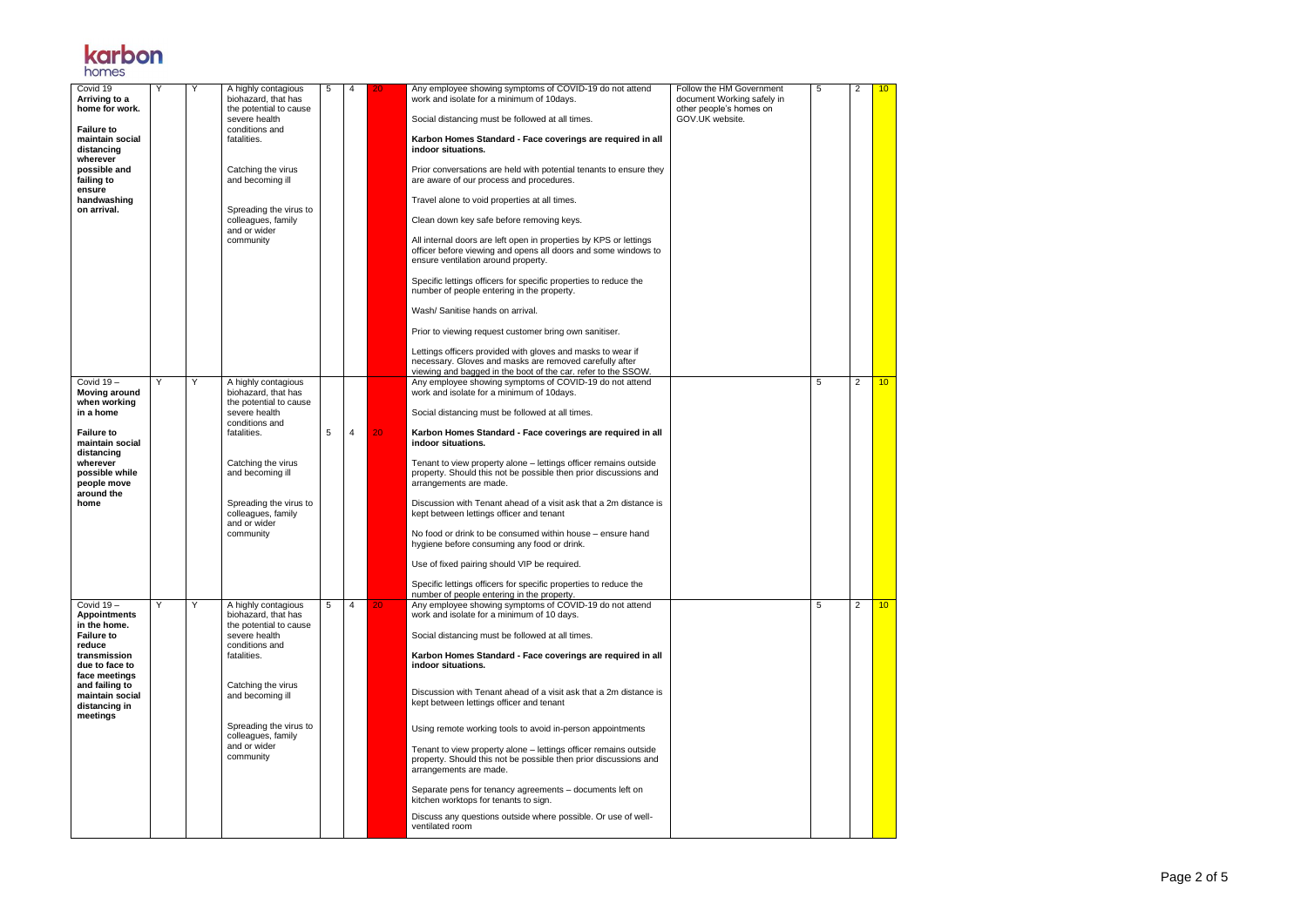Page 2 of 5



| Covid 19<br>Arriving to a<br>home for work.                           |   | Υ | A highly contagious<br>biohazard, that has<br>the potential to cause | 5 | 4 | 20 | Any employee showing symptoms of COVID-19 do not attend<br>work and isolate for a minimum of 10days.                                                                                    | Follow the HM Government<br>document Working safely in<br>other people's homes on | 5 | 2              | 10 <sup>°</sup> |
|-----------------------------------------------------------------------|---|---|----------------------------------------------------------------------|---|---|----|-----------------------------------------------------------------------------------------------------------------------------------------------------------------------------------------|-----------------------------------------------------------------------------------|---|----------------|-----------------|
| <b>Failure to</b>                                                     |   |   | severe health<br>conditions and                                      |   |   |    | Social distancing must be followed at all times.                                                                                                                                        | GOV.UK website.                                                                   |   |                |                 |
| maintain social<br>distancing<br>wherever                             |   |   | fatalities.                                                          |   |   |    | Karbon Homes Standard - Face coverings are required in all<br>indoor situations.                                                                                                        |                                                                                   |   |                |                 |
| possible and<br>failing to<br>ensure                                  |   |   | Catching the virus<br>and becoming ill                               |   |   |    | Prior conversations are held with potential tenants to ensure they<br>are aware of our process and procedures.                                                                          |                                                                                   |   |                |                 |
| handwashing<br>on arrival.                                            |   |   | Spreading the virus to                                               |   |   |    | Travel alone to void properties at all times.                                                                                                                                           |                                                                                   |   |                |                 |
|                                                                       |   |   | colleagues, family<br>and or wider                                   |   |   |    | Clean down key safe before removing keys.                                                                                                                                               |                                                                                   |   |                |                 |
|                                                                       |   |   | community                                                            |   |   |    | All internal doors are left open in properties by KPS or lettings<br>officer before viewing and opens all doors and some windows to<br>ensure ventilation around property.              |                                                                                   |   |                |                 |
|                                                                       |   |   |                                                                      |   |   |    | Specific lettings officers for specific properties to reduce the<br>number of people entering in the property.                                                                          |                                                                                   |   |                |                 |
|                                                                       |   |   |                                                                      |   |   |    | Wash/Sanitise hands on arrival.                                                                                                                                                         |                                                                                   |   |                |                 |
|                                                                       |   |   |                                                                      |   |   |    | Prior to viewing request customer bring own sanitiser.                                                                                                                                  |                                                                                   |   |                |                 |
|                                                                       |   |   |                                                                      |   |   |    | Lettings officers provided with gloves and masks to wear if<br>necessary. Gloves and masks are removed carefully after<br>viewing and bagged in the boot of the car. refer to the SSOW. |                                                                                   |   |                |                 |
| Covid 19-<br><b>Moving around</b>                                     | Y | Y | A highly contagious<br>biohazard, that has                           |   |   |    | Any employee showing symptoms of COVID-19 do not attend<br>work and isolate for a minimum of 10days.                                                                                    |                                                                                   | 5 | 2              | 10              |
| when working<br>in a home                                             |   |   | the potential to cause<br>severe health                              |   |   |    | Social distancing must be followed at all times.                                                                                                                                        |                                                                                   |   |                |                 |
| <b>Failure to</b><br>maintain social                                  |   |   | conditions and<br>fatalities.                                        | 5 | 4 | 20 | Karbon Homes Standard - Face coverings are required in all<br>indoor situations.                                                                                                        |                                                                                   |   |                |                 |
| distancing<br>wherever<br>possible while<br>people move<br>around the |   |   | Catching the virus<br>and becoming ill                               |   |   |    | Tenant to view property alone - lettings officer remains outside<br>property. Should this not be possible then prior discussions and<br>arrangements are made.                          |                                                                                   |   |                |                 |
| home                                                                  |   |   | Spreading the virus to<br>colleagues, family<br>and or wider         |   |   |    | Discussion with Tenant ahead of a visit ask that a 2m distance is<br>kept between lettings officer and tenant                                                                           |                                                                                   |   |                |                 |
|                                                                       |   |   | community                                                            |   |   |    | No food or drink to be consumed within house – ensure hand<br>hygiene before consuming any food or drink.                                                                               |                                                                                   |   |                |                 |
|                                                                       |   |   |                                                                      |   |   |    | Use of fixed pairing should VIP be required.                                                                                                                                            |                                                                                   |   |                |                 |
|                                                                       |   |   |                                                                      |   |   |    | Specific lettings officers for specific properties to reduce the<br>number of people entering in the property.                                                                          |                                                                                   |   |                |                 |
| Covid 19-<br><b>Appointments</b><br>in the home.                      | Y | Y | A highly contagious<br>biohazard, that has<br>the potential to cause | 5 | 4 | 20 | Any employee showing symptoms of COVID-19 do not attend<br>work and isolate for a minimum of 10 days.                                                                                   |                                                                                   | 5 | $\overline{2}$ | 10 <sup>1</sup> |
| <b>Failure to</b><br>reduce                                           |   |   | severe health<br>conditions and                                      |   |   |    | Social distancing must be followed at all times.                                                                                                                                        |                                                                                   |   |                |                 |
| transmission<br>due to face to<br>face meetings                       |   |   | fatalities.                                                          |   |   |    | Karbon Homes Standard - Face coverings are required in all<br>indoor situations.                                                                                                        |                                                                                   |   |                |                 |
| and failing to<br>maintain social<br>distancing in<br>meetings        |   |   | Catching the virus<br>and becoming ill                               |   |   |    | Discussion with Tenant ahead of a visit ask that a 2m distance is<br>kept between lettings officer and tenant                                                                           |                                                                                   |   |                |                 |
|                                                                       |   |   | Spreading the virus to<br>colleagues, family                         |   |   |    | Using remote working tools to avoid in-person appointments                                                                                                                              |                                                                                   |   |                |                 |
|                                                                       |   |   | and or wider<br>community                                            |   |   |    | Tenant to view property alone - lettings officer remains outside<br>property. Should this not be possible then prior discussions and<br>arrangements are made.                          |                                                                                   |   |                |                 |
|                                                                       |   |   |                                                                      |   |   |    | Separate pens for tenancy agreements - documents left on<br>kitchen worktops for tenants to sign.                                                                                       |                                                                                   |   |                |                 |
|                                                                       |   |   |                                                                      |   |   |    | Discuss any questions outside where possible. Or use of well-<br>ventilated room                                                                                                        |                                                                                   |   |                |                 |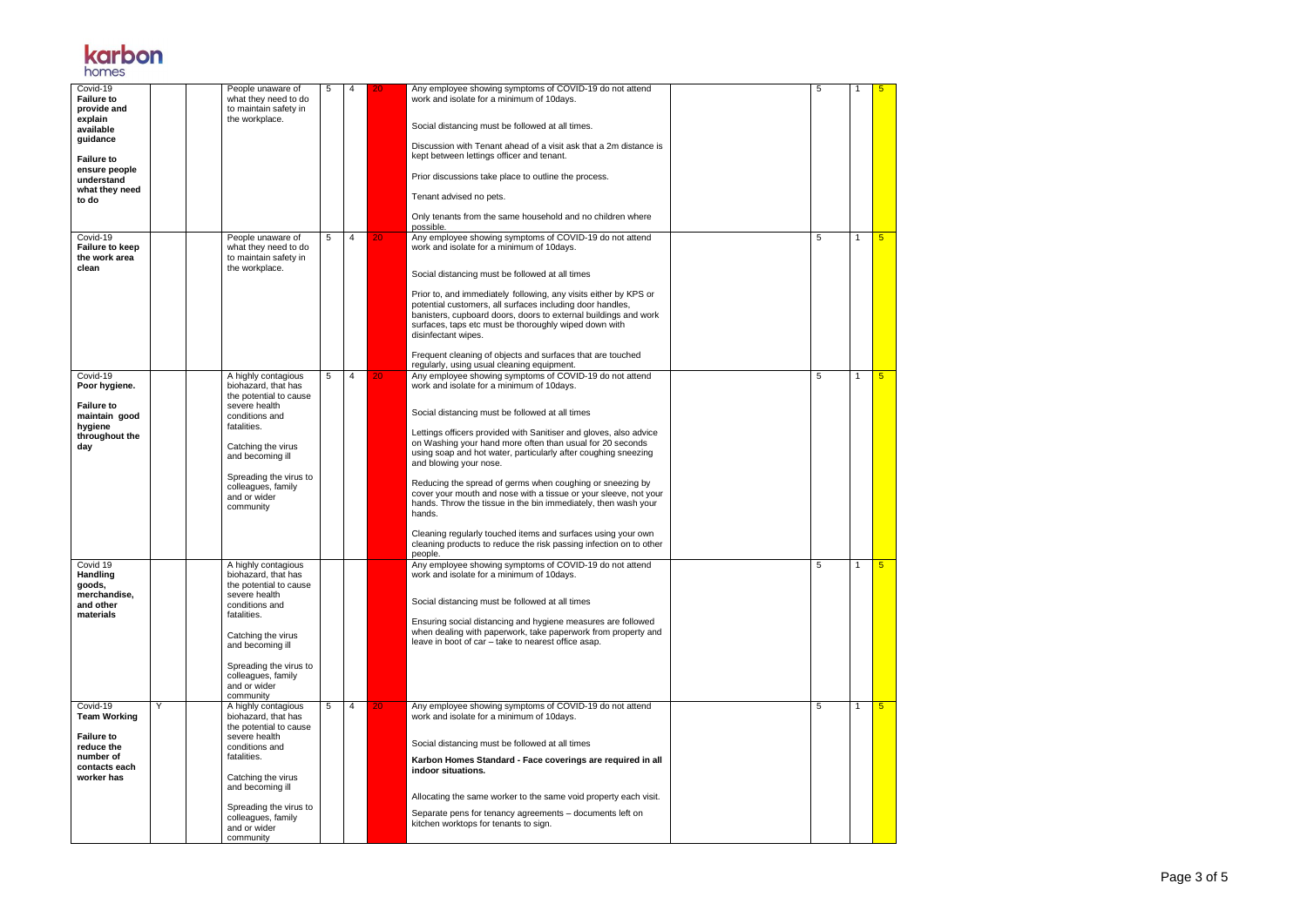Page 3 of 5



| Covid-19<br><b>Failure to</b><br>provide and<br>explain<br>available<br>guidance<br><b>Failure to</b><br>ensure people<br>understand<br>what they need<br>to do |   | People unaware of<br>what they need to do<br>to maintain safety in<br>the workplace.                                                                                                                                                          | 5 | 4 | 20 | Any employee showing symptoms of COVID-19 do not attend<br>work and isolate for a minimum of 10days.<br>Social distancing must be followed at all times.<br>Discussion with Tenant ahead of a visit ask that a 2m distance is<br>kept between lettings officer and tenant.<br>Prior discussions take place to outline the process.<br>Tenant advised no pets.<br>Only tenants from the same household and no children where<br>possible.                                                                                                                                                                                                                                                                                                            | 5 |    | 5               |
|-----------------------------------------------------------------------------------------------------------------------------------------------------------------|---|-----------------------------------------------------------------------------------------------------------------------------------------------------------------------------------------------------------------------------------------------|---|---|----|-----------------------------------------------------------------------------------------------------------------------------------------------------------------------------------------------------------------------------------------------------------------------------------------------------------------------------------------------------------------------------------------------------------------------------------------------------------------------------------------------------------------------------------------------------------------------------------------------------------------------------------------------------------------------------------------------------------------------------------------------------|---|----|-----------------|
| Covid-19<br><b>Failure to keep</b><br>the work area<br>clean                                                                                                    |   | People unaware of<br>what they need to do<br>to maintain safety in<br>the workplace.                                                                                                                                                          | 5 | 4 | 20 | Any employee showing symptoms of COVID-19 do not attend<br>work and isolate for a minimum of 10days.<br>Social distancing must be followed at all times<br>Prior to, and immediately following, any visits either by KPS or<br>potential customers, all surfaces including door handles,<br>banisters, cupboard doors, doors to external buildings and work<br>surfaces, taps etc must be thoroughly wiped down with<br>disinfectant wipes.<br>Frequent cleaning of objects and surfaces that are touched<br>regularly, using usual cleaning equipment.                                                                                                                                                                                             | 5 |    | $5\overline{)}$ |
| Covid-19<br>Poor hygiene.<br><b>Failure to</b><br>maintain good<br>hygiene<br>throughout the<br>day                                                             |   | A highly contagious<br>biohazard, that has<br>the potential to cause<br>severe health<br>conditions and<br>fatalities.<br>Catching the virus<br>and becoming ill<br>Spreading the virus to<br>colleagues, family<br>and or wider<br>community | 5 | 4 | 20 | Any employee showing symptoms of COVID-19 do not attend<br>work and isolate for a minimum of 10days.<br>Social distancing must be followed at all times<br>Lettings officers provided with Sanitiser and gloves, also advice<br>on Washing your hand more often than usual for 20 seconds<br>using soap and hot water, particularly after coughing sneezing<br>and blowing your nose.<br>Reducing the spread of germs when coughing or sneezing by<br>cover your mouth and nose with a tissue or your sleeve, not your<br>hands. Throw the tissue in the bin immediately, then wash your<br>hands.<br>Cleaning regularly touched items and surfaces using your own<br>cleaning products to reduce the risk passing infection on to other<br>people. | 5 |    | $5\overline{)}$ |
| Covid 19<br>Handling<br>goods,<br>merchandise,<br>and other<br>materials                                                                                        |   | A highly contagious<br>biohazard, that has<br>the potential to cause<br>severe health<br>conditions and<br>fatalities.<br>Catching the virus<br>and becoming ill<br>Spreading the virus to<br>colleagues, family<br>and or wider<br>community |   |   |    | Any employee showing symptoms of COVID-19 do not attend<br>work and isolate for a minimum of 10days.<br>Social distancing must be followed at all times<br>Ensuring social distancing and hygiene measures are followed<br>when dealing with paperwork, take paperwork from property and<br>leave in boot of car - take to nearest office asap.                                                                                                                                                                                                                                                                                                                                                                                                     | 5 | -1 | 5 <sub>5</sub>  |
| Covid-19<br><b>Team Working</b><br><b>Failure to</b><br>reduce the<br>number of<br>contacts each<br>worker has                                                  | Y | A highly contagious<br>biohazard, that has<br>the potential to cause<br>severe health<br>conditions and<br>fatalities.<br>Catching the virus<br>and becoming ill<br>Spreading the virus to<br>colleagues, family<br>and or wider<br>community | 5 | 4 | 20 | Any employee showing symptoms of COVID-19 do not attend<br>work and isolate for a minimum of 10days.<br>Social distancing must be followed at all times<br>Karbon Homes Standard - Face coverings are required in all<br>indoor situations.<br>Allocating the same worker to the same void property each visit.<br>Separate pens for tenancy agreements - documents left on<br>kitchen worktops for tenants to sign.                                                                                                                                                                                                                                                                                                                                | 5 | -1 | 5 <sub>5</sub>  |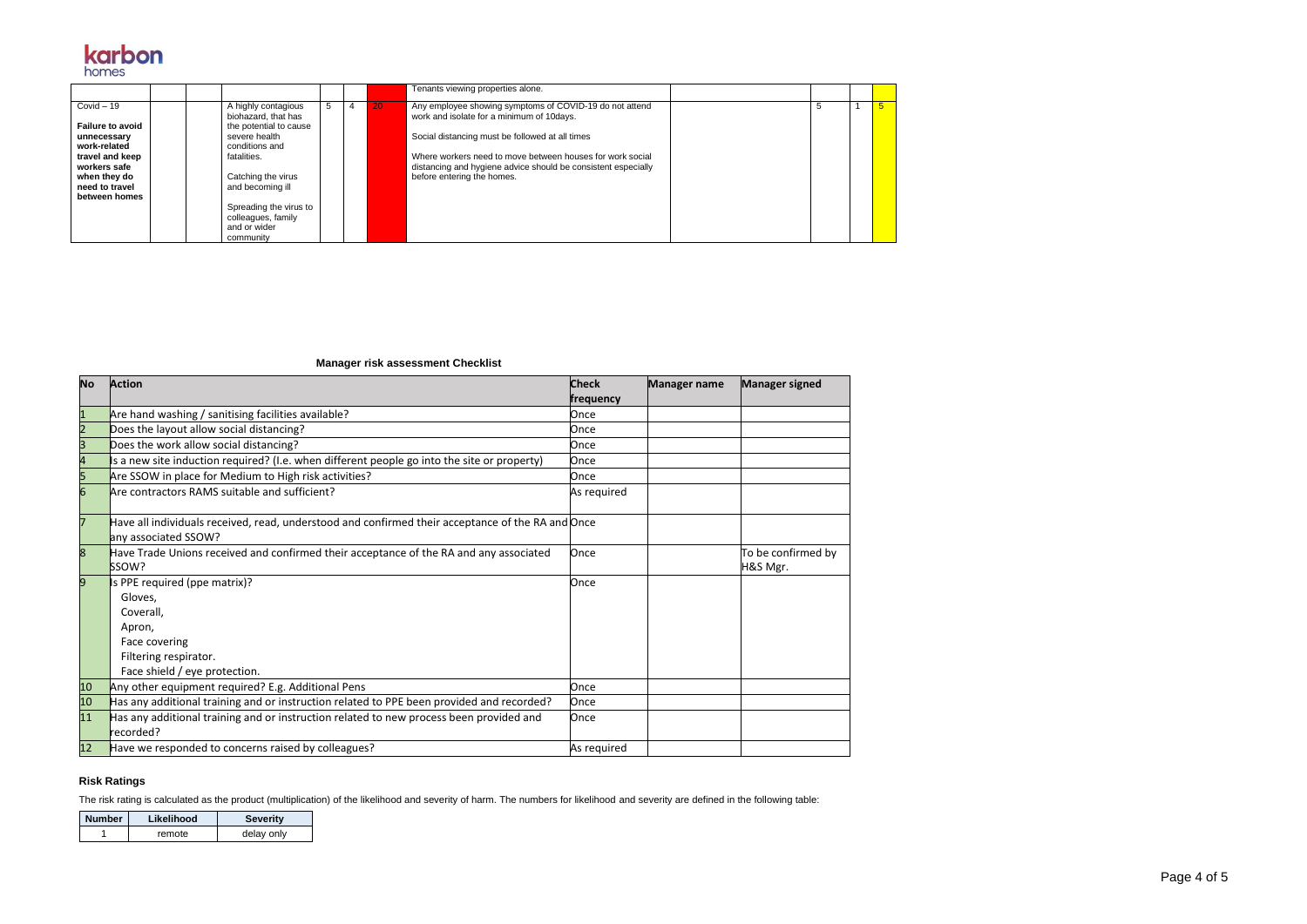Page 4 of 5



|                                                                                    |                                                                                                         |   |    | Tenants viewing properties alone.                                                                                                                        |   |  |
|------------------------------------------------------------------------------------|---------------------------------------------------------------------------------------------------------|---|----|----------------------------------------------------------------------------------------------------------------------------------------------------------|---|--|
| $Covid - 19$<br><b>Failure to avoid</b><br>unnecessary<br>work-related             | A highly contagious<br>biohazard, that has<br>the potential to cause<br>severe health<br>conditions and | 5 | 20 | Any employee showing symptoms of COVID-19 do not attend<br>work and isolate for a minimum of 10days.<br>Social distancing must be followed at all times  | 5 |  |
| travel and keep<br>workers safe<br>when they do<br>need to travel<br>between homes | fatalities.<br>Catching the virus<br>and becoming ill                                                   |   |    | Where workers need to move between houses for work social<br>distancing and hygiene advice should be consistent especially<br>before entering the homes. |   |  |
|                                                                                    | Spreading the virus to<br>colleagues, family<br>and or wider<br>community                               |   |    |                                                                                                                                                          |   |  |

## **Manager risk assessment Checklist**

| <b>No</b> | <b>Action</b>                                                                                                             | <b>Check</b> | <b>Manager name</b> | <b>Manager signed</b> |
|-----------|---------------------------------------------------------------------------------------------------------------------------|--------------|---------------------|-----------------------|
|           |                                                                                                                           | frequency    |                     |                       |
| 1         | Are hand washing / sanitising facilities available?                                                                       | Once         |                     |                       |
| 2         | Does the layout allow social distancing?                                                                                  | Once         |                     |                       |
| 3         | Does the work allow social distancing?                                                                                    | Once         |                     |                       |
|           | Is a new site induction required? (I.e. when different people go into the site or property)                               | Once         |                     |                       |
| 5         | Are SSOW in place for Medium to High risk activities?                                                                     | Once         |                     |                       |
| 6         | Are contractors RAMS suitable and sufficient?                                                                             | As required  |                     |                       |
| 7         | Have all individuals received, read, understood and confirmed their acceptance of the RA and Once<br>any associated SSOW? |              |                     |                       |
| 8         | Have Trade Unions received and confirmed their acceptance of the RA and any associated                                    | Once         |                     | To be confirmed by    |
|           | SSOW?                                                                                                                     |              |                     | H&S Mgr.              |
| 9         | Is PPE required (ppe matrix)?                                                                                             | Once         |                     |                       |
|           | Gloves,                                                                                                                   |              |                     |                       |
|           | Coverall,                                                                                                                 |              |                     |                       |
|           | Apron,                                                                                                                    |              |                     |                       |
|           | Face covering                                                                                                             |              |                     |                       |
|           | Filtering respirator.                                                                                                     |              |                     |                       |
|           | Face shield / eye protection.                                                                                             |              |                     |                       |
| 10        | Any other equipment required? E.g. Additional Pens                                                                        | Once         |                     |                       |
| 10        | Has any additional training and or instruction related to PPE been provided and recorded?                                 | Once         |                     |                       |
| 11        | Has any additional training and or instruction related to new process been provided and<br>recorded?                      | Once         |                     |                       |
| 12        | Have we responded to concerns raised by colleagues?                                                                       | As required  |                     |                       |

## **Risk Ratings**

The risk rating is calculated as the product (multiplication) of the likelihood and severity of harm. The numbers for likelihood and severity are defined in the following table:

| <b>Number</b> | Likelihood | <b>Severity</b> |
|---------------|------------|-----------------|
|               | remote     | delay only      |